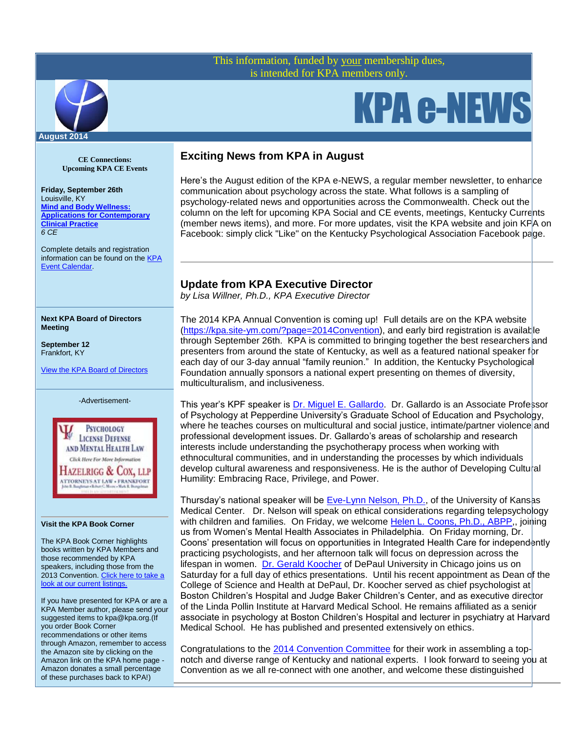## This information, funded by your membership dues, is intended for KPA members only.



# KPA e-NEWS

#### **CE Connections: Upcoming KPA CE Events**

**Friday, September 26th** Louisville, KY **[Mind and Body Wellness:](http://www.kpa.org/events/event_details.asp?id=388028&group=)  [Applications for Contemporary](http://www.kpa.org/events/event_details.asp?id=388028&group=)  [Clinical Practice](http://www.kpa.org/events/event_details.asp?id=388028&group=)**  *6 CE*

Complete details and registration information can be found on th[e KPA](http://www.kpa.org/events/event_list.asp)  [Event Calendar.](http://www.kpa.org/events/event_list.asp)

#### **Next KPA Board of Directors Meeting**

**September 12** Frankfort, KY

[View the KPA Board of Directors](http://www.kpa.org/?page=BoardofDirectors)



**PSYCHOLOGY LICENSE DEFENSE** AND MENTAL HEALTH LAW Click Here For More Information Hazelrigg & Cox, llp ATTORNEYS AT LAW . FRANKFORT

#### **Visit the KPA Book Corner**

The KPA Book Corner highlights books written by KPA Members and those recommended by KPA speakers, including those from the 2013 Convention. Click here to take a [look at our current listings.](http://www.kpa.org/?477)

If you have presented for KPA or are a KPA Member author, please send your suggested items to kpa@kpa.org.(If you order Book Corner recommendations or other items through Amazon, remember to access the Amazon site by clicking on the Amazon link on the KPA home page - Amazon donates a small percentage of these purchases back to KPA!)

# **Exciting News from KPA in August**

Here's the August edition of the KPA e-NEWS, a regular member newsletter, to enhance communication about psychology across the state. What follows is a sampling of psychology-related news and opportunities across the Commonwealth. Check out the column on the left for upcoming KPA Social and CE events, meetings, Kentucky Currents (member news items), and more. For more updates, visit the KPA website and join KPA on Facebook: simply click "Like" on the Kentucky Psychological Association Facebook page.

## **Update from KPA Executive Director**

*by Lisa Willner, Ph.D., KPA Executive Director*

The 2014 KPA Annual Convention is coming up! Full details are on the KPA website [\(https://kpa.site-ym.com/?page=2014Convention\)](https://kpa.site-ym.com/?page=2014Convention), and early bird registration is availat|le through September 26th. KPA is committed to bringing together the best researchers and presenters from around the state of Kentucky, as well as a featured national speaker for each day of our 3-day annual "family reunion." In addition, the Kentucky Psychological Foundation annually sponsors a national expert presenting on themes of diversity, multiculturalism, and inclusiveness.

This year's KPF speaker is [Dr. Miguel E. Gallardo.](http://www.drgallardo.com/) Dr. Gallardo is an Associate Professor of Psychology at Pepperdine University's Graduate School of Education and Psychology, where he teaches courses on multicultural and social justice, intimate/partner violence and professional development issues. Dr. Gallardo's areas of scholarship and research interests include understanding the psychotherapy process when working with ethnocultural communities, and in understanding the processes by which individuals develop cultural awareness and responsiveness. He is the author of Developing Cultural Humility: Embracing Race, Privilege, and Power.

Thursday's national speaker will be [Eve-Lynn Nelson, Ph.D.,](http://www.kumc.edu/school-of-medicine/pediatrics/faculty/eve-lynn-nelson.html) of the University of Kansas Medical Center. Dr. Nelson will speak on ethical considerations regarding telepsychology with children and families. On Friday, we welcome Helen L. Coons, Ph.D., ABPP., joining us from Women's Mental Health Associates in Philadelphia. On Friday morning, Dr. Coons' presentation will focus on opportunities in Integrated Health Care for independently practicing psychologists, and her afternoon talk will focus on depression across the lifespan in women. [Dr. Gerald Koocher](http://www.depaul.edu/about/administration/Pages/koocher.aspx) of DePaul University in Chicago joins us on Saturday for a full day of ethics presentations. Until his recent appointment as Dean of the College of Science and Health at DePaul, Dr. Koocher served as chief psychologist at Boston Children's Hospital and Judge Baker Children's Center, and as executive director of the Linda Pollin Institute at Harvard Medical School. He remains affiliated as a senior associate in psychology at Boston Children's Hospital and lecturer in psychiatry at Harvard Medical School. He has published and presented extensively on ethics.

Congratulations to the [2014 Convention Committee](https://kpa.site-ym.com/?ConvCommittee) for their work in assembling a topnotch and diverse range of Kentucky and national experts. I look forward to seeing you at Convention as we all re-connect with one another, and welcome these distinguished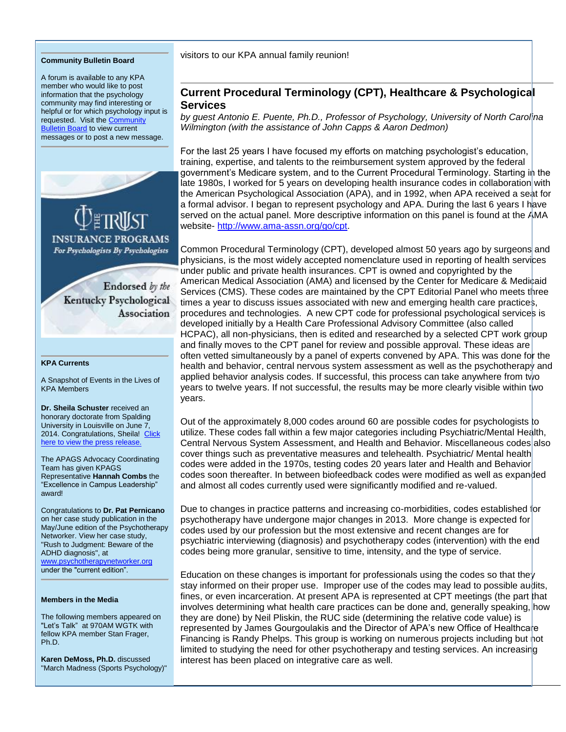#### **Community Bulletin Board**

A forum is available to any KPA member who would like to post information that the psychology community may find interesting or helpful or for which psychology input is requested. Visit th[e Community](http://kpa.site-ym.com/forums/)  [Bulletin Board](http://kpa.site-ym.com/forums/) to view current messages or to post a new message.



Endorsed by the Kentucky Psychological Association

#### **KPA Currents**

A Snapshot of Events in the Lives of KPA Members

**Dr. Sheila Schuster** received an honorary doctorate from Spalding University in Louisville on June 7, 2014. Congratulations, Sheila! Click [here to view the press release.](http://spalding.edu/su-honors-local-leaders-honorary-doctorates/)

The APAGS Advocacy Coordinating Team has given KPAGS Representative **Hannah Combs** the "Excellence in Campus Leadership" award!

Congratulations to **Dr. Pat Pernicano** on her case study publication in the May/June edition of the Psychotherapy Networker. View her case study, "Rush to Judgment: Beware of the ADHD diagnosis", at [www.psychotherapynetworker.org](http://www.psychotherapynetworker.org/) under the "current edition".

#### **Members in the Media**

The following members appeared on "Let's Talk" at 970AM WGTK with fellow KPA member Stan Frager, Ph.D.

**Karen DeMoss, Ph.D.** discussed "March Madness (Sports Psychology)" visitors to our KPA annual family reunion!

## **Current Procedural Terminology (CPT), Healthcare & Psychological Services**

*by guest Antonio E. Puente, Ph.D., Professor of Psychology, University of North Carolina Wilmington (with the assistance of John Capps & Aaron Dedmon)*

For the last 25 years I have focused my efforts on matching psychologist's education, training, expertise, and talents to the reimbursement system approved by the federal government's Medicare system, and to the Current Procedural Terminology. Starting in the late 1980s, I worked for 5 years on developing health insurance codes in collaboration with the American Psychological Association (APA), and in 1992, when APA received a seat for a formal advisor. I began to represent psychology and APA. During the last 6 years I have served on the actual panel. More descriptive information on this panel is found at the AMA website- [http://www.ama-assn.org/go/cpt.](http://www.ama-assn.org/go/cpt)

Common Procedural Terminology (CPT), developed almost 50 years ago by surgeons and physicians, is the most widely accepted nomenclature used in reporting of health services under public and private health insurances. CPT is owned and copyrighted by the American Medical Association (AMA) and licensed by the Center for Medicare & Medicaid Services (CMS). These codes are maintained by the CPT Editorial Panel who meets three times a year to discuss issues associated with new and emerging health care practices, procedures and technologies. A new CPT code for professional psychological services is developed initially by a Health Care Professional Advisory Committee (also called HCPAC), all non-physicians, then is edited and researched by a selected CPT work group and finally moves to the CPT panel for review and possible approval. These ideas are often vetted simultaneously by a panel of experts convened by APA. This was done for the health and behavior, central nervous system assessment as well as the psychotherapy and applied behavior analysis codes. If successful, this process can take anywhere from two years to twelve years. If not successful, the results may be more clearly visible within two years.

Out of the approximately 8,000 codes around 60 are possible codes for psychologists to utilize. These codes fall within a few major categories including Psychiatric/Mental Health, Central Nervous System Assessment, and Health and Behavior. Miscellaneous codes also cover things such as preventative measures and telehealth. Psychiatric/ Mental health codes were added in the 1970s, testing codes 20 years later and Health and Behavior codes soon thereafter. In between biofeedback codes were modified as well as expanded and almost all codes currently used were significantly modified and re-valued.

Due to changes in practice patterns and increasing co-morbidities, codes established for psychotherapy have undergone major changes in 2013. More change is expected for codes used by our profession but the most extensive and recent changes are for psychiatric interviewing (diagnosis) and psychotherapy codes (intervention) with the end codes being more granular, sensitive to time, intensity, and the type of service.

Education on these changes is important for professionals using the codes so that the  $\gamma$ stay informed on their proper use. Improper use of the codes may lead to possible audits, fines, or even incarceration. At present APA is represented at CPT meetings (the part that involves determining what health care practices can be done and, generally speaking, how they are done) by Neil Pliskin, the RUC side (determining the relative code value) is represented by James Gourgoulakis and the Director of APA's new Office of Healthca<sup>le</sup> Financing is Randy Phelps. This group is working on numerous projects including but hot limited to studying the need for other psychotherapy and testing services. An increasing interest has been placed on integrative care as well.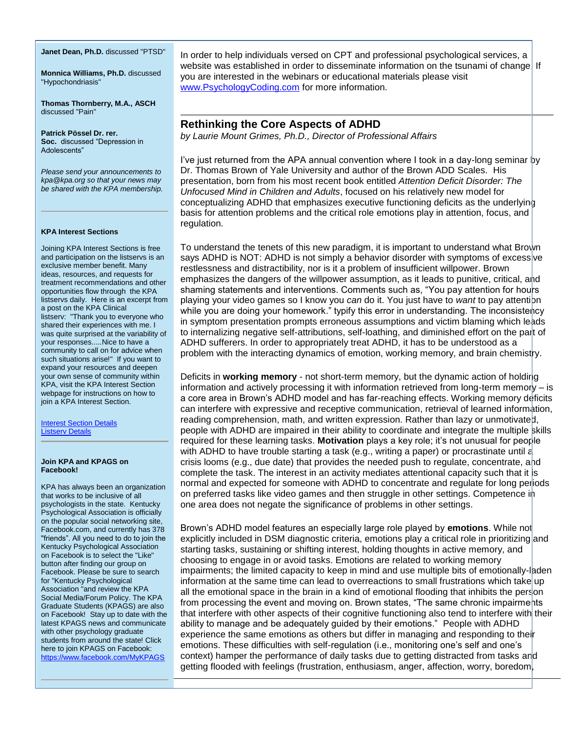#### **Janet Dean, Ph.D.** discussed "PTSD"

**Monnica Williams, Ph.D.** discussed "Hypochondriasis"

**Thomas Thornberry, M.A., ASCH**  discussed "Pain"

**Patrick Pössel Dr. rer. Soc.** discussed "Depression in Adolescents"

*Please send your announcements to kpa@kpa.org so that your news may be shared with the KPA membership.* 

#### **KPA Interest Sections**

Joining KPA Interest Sections is free and participation on the listservs is an exclusive member benefit. Many ideas, resources, and requests for treatment recommendations and other opportunities flow through the KPA listservs daily. Here is an excerpt from a post on the KPA Clinical listserv: "Thank you to everyone who shared their experiences with me. I was quite surprised at the variability of your responses.....Nice to have a community to call on for advice when such situations arise!" If you want to expand your resources and deepen your own sense of community within KPA, visit the KPA Interest Section webpage for instructions on how to join a KPA Interest Section.

[Interest Section Details](http://www.kpa.org/?522)  [Listserv Details](https://kpa.site-ym.com/?KPAListservs)

#### **Join KPA and KPAGS on Facebook!**

KPA has always been an organization that works to be inclusive of all psychologists in the state. Kentucky Psychological Association is officially on the popular social networking site, Facebook.com, and currently has 378 "friends". All you need to do to join the Kentucky Psychological Association on Facebook is to select the "Like" button after finding our group on Facebook. Please be sure to search for "Kentucky Psychological Association "and review the KPA Social Media/Forum Policy. The KPA Graduate Students (KPAGS) are also on Facebook! Stay up to date with the latest KPAGS news and communicate with other psychology graduate students from around the state! Click here to join KPAGS on Facebook: <https://www.facebook.com/MyKPAGS>

In order to help individuals versed on CPT and professional psychological services, a website was established in order to disseminate information on the tsunami of change If you are interested in the webinars or educational materials please visit [www.PsychologyCoding.com](https://kpa.site-ym.com/admin/content/www.PsychologyCoding.com) for more information.

## **Rethinking the Core Aspects of ADHD**

*by Laurie Mount Grimes, Ph.D., Director of Professional Affairs*

I've just returned from the APA annual convention where I took in a day-long seminar by Dr. Thomas Brown of Yale University and author of the Brown ADD Scales. His presentation, born from his most recent book entitled *Attention Deficit Disorder: The Unfocused Mind in Children and Adults*, focused on his relatively new model for conceptualizing ADHD that emphasizes executive functioning deficits as the underlying basis for attention problems and the critical role emotions play in attention, focus, and regulation.

To understand the tenets of this new paradigm, it is important to understand what Brown says ADHD is NOT: ADHD is not simply a behavior disorder with symptoms of excessive restlessness and distractibility, nor is it a problem of insufficient willpower. Brown emphasizes the dangers of the willpower assumption, as it leads to punitive, critical, and shaming statements and interventions. Comments such as, "You pay attention for hours playing your video games so I know you *can* do it. You just have to *want* to pay attention while you are doing your homework." typify this error in understanding. The inconsistency in symptom presentation prompts erroneous assumptions and victim blaming which leads to internalizing negative self-attributions, self-loathing, and diminished effort on the part of ADHD sufferers. In order to appropriately treat ADHD, it has to be understood as a problem with the interacting dynamics of emotion, working memory, and brain chemistry.

Deficits in **working memory** - not short-term memory, but the dynamic action of holding information and actively processing it with information retrieved from long-term memory – is a core area in Brown's ADHD model and has far-reaching effects. Working memory deficits can interfere with expressive and receptive communication, retrieval of learned information, reading comprehension, math, and written expression. Rather than lazy or unmotivated, people with ADHD are impaired in their ability to coordinate and integrate the multiple skills required for these learning tasks. **Motivation** plays a key role; it's not unusual for people with ADHD to have trouble starting a task (e.g., writing a paper) or procrastinate until  $\varepsilon$ crisis looms (e.g., due date) that provides the needed push to regulate, concentrate,  $a$ hd complete the task. The interest in an activity mediates attentional capacity such that it is normal and expected for someone with ADHD to concentrate and regulate for long periods on preferred tasks like video games and then struggle in other settings. Competence in one area does not negate the significance of problems in other settings.

Brown's ADHD model features an especially large role played by **emotions**. While not explicitly included in DSM diagnostic criteria, emotions play a critical role in prioritizing and starting tasks, sustaining or shifting interest, holding thoughts in active memory, and choosing to engage in or avoid tasks. Emotions are related to working memory impairments; the limited capacity to keep in mind and use multiple bits of emotionally-laden information at the same time can lead to overreactions to small frustrations which take up all the emotional space in the brain in a kind of emotional flooding that inhibits the person from processing the event and moving on. Brown states, "The same chronic impairments" that interfere with other aspects of their cognitive functioning also tend to interfere with their ability to manage and be adequately guided by their emotions." People with ADHD experience the same emotions as others but differ in managing and responding to their emotions. These difficulties with self-regulation (i.e., monitoring one's self and one's context) hamper the performance of daily tasks due to getting distracted from tasks and getting flooded with feelings (frustration, enthusiasm, anger, affection, worry, boredom,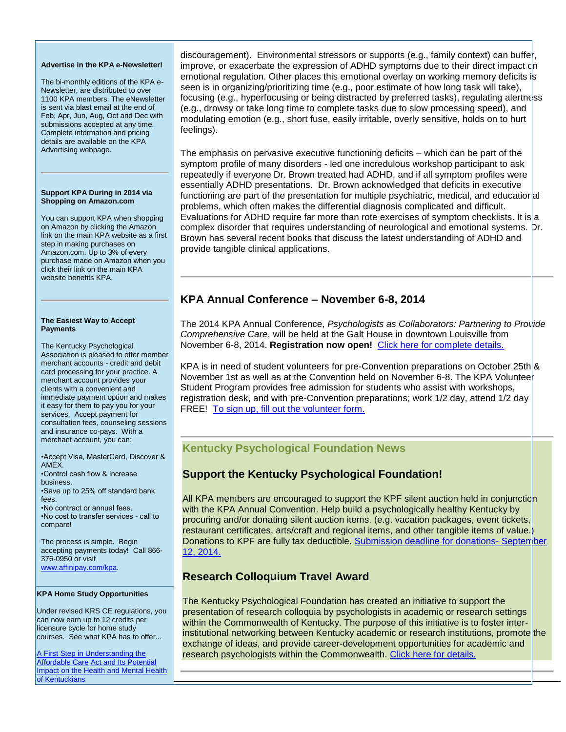#### **Advertise in the KPA e-Newsletter!**

The bi-monthly editions of the KPA e-Newsletter, are distributed to over 1100 KPA members. The eNewsletter is sent via blast email at the end of Feb, Apr, Jun, Aug, Oct and Dec with submissions accepted at any time. Complete information and pricing details are available on the KPA Advertising webpage.

#### **Support KPA During in 2014 via Shopping on Amazon.com**

You can support KPA when shopping on Amazon by clicking the Amazon link on the main KPA website as a first step in making purchases on Amazon.com. Up to 3% of every purchase made on Amazon when you click their link on the main KPA website benefits KPA.

#### **The Easiest Way to Accept Payments**

The Kentucky Psychological Association is pleased to offer member merchant accounts - credit and debit card processing for your practice. A merchant account provides your clients with a convenient and immediate payment option and makes it easy for them to pay you for your services. Accept payment for consultation fees, counseling sessions and insurance co-pays. With a merchant account, you can:

•Accept Visa, MasterCard, Discover & AMEX.

•Control cash flow & increase business. •Save up to 25% off standard bank

fees. •No contract or annual fees.

•No cost to transfer services - call to compare!

The process is simple. Begin accepting payments today! Call 866- 376-0950 or visit [www.affinipay.com/kpa.](http://www.affinipay.com/kpa)

#### **KPA Home Study Opportunities**

Under revised KRS CE regulations, you can now earn up to 12 credits per licensure cycle for home study courses. See what KPA has to offer...

[A First Step in Understanding the](http://kpa.org/displaycommon.cfm?an=1&subarticlenbr=670)  [Affordable Care Act and Its Potential](http://kpa.org/displaycommon.cfm?an=1&subarticlenbr=670)  [Impact on the Health and Mental Health](http://kpa.org/displaycommon.cfm?an=1&subarticlenbr=670)  [of Kentuckians](http://kpa.org/displaycommon.cfm?an=1&subarticlenbr=670)

discouragement). Environmental stressors or supports (e.g., family context) can buffer, improve, or exacerbate the expression of ADHD symptoms due to their direct impact  $c|n$ emotional regulation. Other places this emotional overlay on working memory deficits is seen is in organizing/prioritizing time (e.g., poor estimate of how long task will take), focusing (e.g., hyperfocusing or being distracted by preferred tasks), regulating alertness (e.g., drowsy or take long time to complete tasks due to slow processing speed), and modulating emotion (e.g., short fuse, easily irritable, overly sensitive, holds on to hurt feelings).

The emphasis on pervasive executive functioning deficits – which can be part of the symptom profile of many disorders - led one incredulous workshop participant to ask repeatedly if everyone Dr. Brown treated had ADHD, and if all symptom profiles were essentially ADHD presentations. Dr. Brown acknowledged that deficits in executive functioning are part of the presentation for multiple psychiatric, medical, and educational problems, which often makes the differential diagnosis complicated and difficult. Evaluations for ADHD require far more than rote exercises of symptom checklists. It is a complex disorder that requires understanding of neurological and emotional systems. Dr. Brown has several recent books that discuss the latest understanding of ADHD and provide tangible clinical applications.

# **KPA Annual Conference – November 6-8, 2014**

The 2014 KPA Annual Conference, *Psychologists as Collaborators: Partnering to Provide Comprehensive Care*, will be held at the Galt House in downtown Louisville from November 6-8, 2014. **Registration now open!** [Click here for complete details.](https://kpa.site-ym.com/?2014Convention)

KPA is in need of student volunteers for pre-Convention preparations on October 25th & November 1st as well as at the Convention held on November 6-8. The KPA Voluntee Student Program provides free admission for students who assist with workshops, registration desk, and with pre-Convention preparations; work 1/2 day, attend 1/2 day FREE! [To sign up, fill out the volunteer form.](https://kpa.site-ym.com/?ConvVolStudent)

# **Kentucky Psychological Foundation News**

# **Support the Kentucky Psychological Foundation!**

All KPA members are encouraged to support the KPF silent auction held in conjunction with the KPA Annual Convention. Help build a psychologically healthy Kentucky by procuring and/or donating silent auction items. (e.g. vacation packages, event tickets, restaurant certificates, arts/craft and regional items, and other tangible items of value.) Donations to KPF are fully tax deductible. [Submission deadline for donations-](https://kpa.site-ym.com/?2014KPFSilentAuction) September [12, 2014.](https://kpa.site-ym.com/?2014KPFSilentAuction)

# **Research Colloquium Travel Award**

The Kentucky Psychological Foundation has created an initiative to support the presentation of research colloquia by psychologists in academic or research settings within the Commonwealth of Kentucky. The purpose of this initiative is to foster interinstitutional networking between Kentucky academic or research institutions, promote the exchange of ideas, and provide career-development opportunities for academic and research psychologists within the Commonwealth. [Click here for details.](https://kpa.site-ym.com/?638)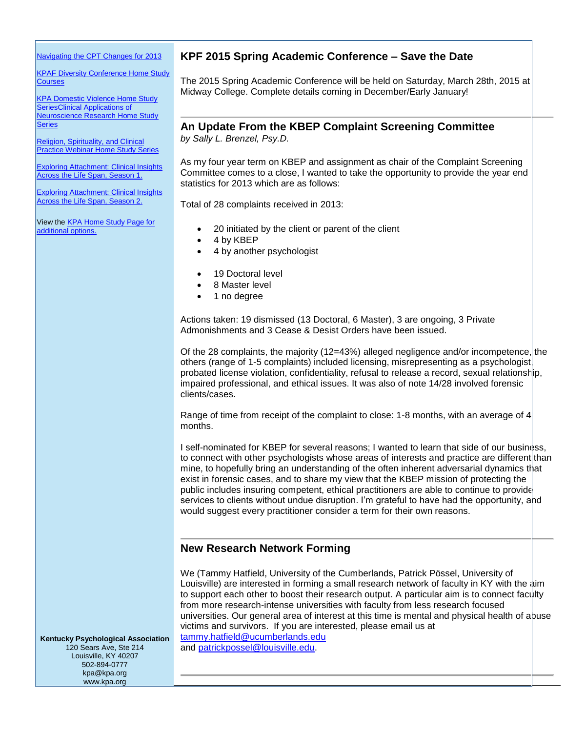[Navigating the CPT Changes for 2013](http://www.kpa.org/?page=610)

[KPAF Diversity Conference Home Study](http://www.kpa.org/general/custom.asp?page=606)  **[Courses](http://www.kpa.org/general/custom.asp?page=606)** 

[KPA Domestic Violence Home Study](http://www.kpa.org/?page=505)  [SeriesClinical Applications of](http://www.kpa.org/?page=505)  [Neuroscience Research Home Study](http://www.kpa.org/?page=505)  **[Series](http://www.kpa.org/?page=505)** 

[Religion, Spirituality, and Clinical](http://www.kpa.org/general/custom.asp?page=553)  [Practice Webinar Home Study Series](http://www.kpa.org/general/custom.asp?page=553)

**Exploring Attachment: Clinical Insights** [Across the Life Span, Season 1.](http://www.kpa.org/?page=688)

**Exploring Attachment: Clinical Insights** [Across the Life Span, Season 2.](https://kpa.site-ym.com/?Attachment_S2)

View the [KPA Home Study Page for](http://kpa.org/displaycommon.cfm?an=1&subarticlenbr=15)  [additional options.](http://kpa.org/displaycommon.cfm?an=1&subarticlenbr=15)

## **KPF 2015 Spring Academic Conference – Save the Date**

The 2015 Spring Academic Conference will be held on Saturday, March 28th, 2015 at Midway College. Complete details coming in December/Early January!

# **An Update From the KBEP Complaint Screening Committee**

*by Sally L. Brenzel, Psy.D.*

As my four year term on KBEP and assignment as chair of the Complaint Screening Committee comes to a close, I wanted to take the opportunity to provide the year end statistics for 2013 which are as follows:

Total of 28 complaints received in 2013:

- 20 initiated by the client or parent of the client
- 4 by KBEP
- 4 by another psychologist
- 19 Doctoral level
- 8 Master level
- 1 no degree

Actions taken: 19 dismissed (13 Doctoral, 6 Master), 3 are ongoing, 3 Private Admonishments and 3 Cease & Desist Orders have been issued.

Of the 28 complaints, the majority (12=43%) alleged negligence and/or incompetence, the others (range of 1-5 complaints) included licensing, misrepresenting as a psychologist, probated license violation, confidentiality, refusal to release a record, sexual relationship, impaired professional, and ethical issues. It was also of note 14/28 involved forensic clients/cases.

Range of time from receipt of the complaint to close: 1-8 months, with an average of 4 months.

I self-nominated for KBEP for several reasons; I wanted to learn that side of our business, to connect with other psychologists whose areas of interests and practice are different than mine, to hopefully bring an understanding of the often inherent adversarial dynamics that exist in forensic cases, and to share my view that the KBEP mission of protecting the public includes insuring competent, ethical practitioners are able to continue to provide services to clients without undue disruption. I'm grateful to have had the opportunity, and would suggest every practitioner consider a term for their own reasons.

## **New Research Network Forming**

We (Tammy Hatfield, University of the Cumberlands, Patrick Pössel, University of Louisville) are interested in forming a small research network of faculty in KY with the  $\frac{1}{2}$ im to support each other to boost their research output. A particular aim is to connect faculty from more research-intense universities with faculty from less research focused universities. Our general area of interest at this time is mental and physical health of abuse victims and survivors. If you are interested, please email us at [tammy.hatfield@ucumberlands.edu](mailto:tammy.hatfield@ucumberlands.edu)

and [patrickpossel@louisville.edu.](mailto:patrickpossel@louisville.edu)

**Kentucky Psychological Association** 120 Sears Ave, Ste 214 Louisville, KY 40207 502-894-0777 kpa@kpa.org www.kpa.org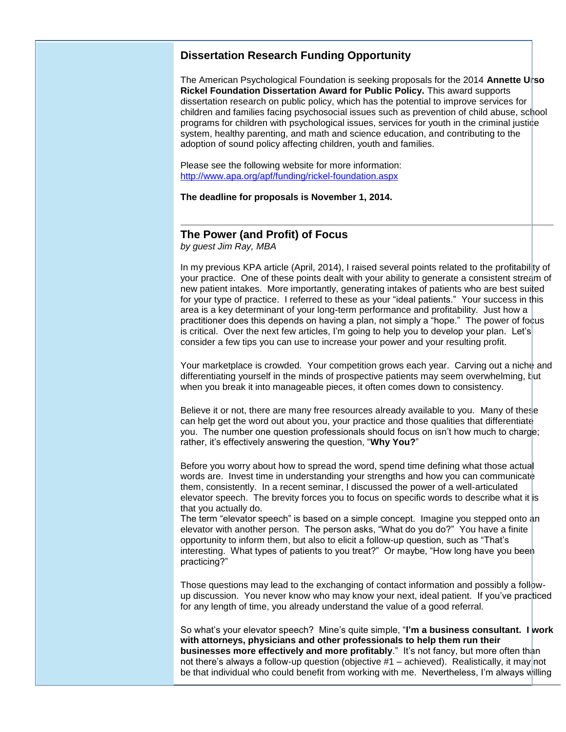## **Dissertation Research Funding Opportunity**

The American Psychological Foundation is seeking proposals for the 2014 **Annette Urso Rickel Foundation Dissertation Award for Public Policy.** This award supports dissertation research on public policy, which has the potential to improve services for children and families facing psychosocial issues such as prevention of child abuse, school programs for children with psychological issues, services for youth in the criminal justice system, healthy parenting, and math and science education, and contributing to the adoption of sound policy affecting children, youth and families.

Please see the following website for more information: <http://www.apa.org/apf/funding/rickel-foundation.aspx>

**The deadline for proposals is November 1, 2014.**

# **The Power (and Profit) of Focus**

*by guest Jim Ray, MBA* 

In my previous KPA article (April, 2014), I raised several points related to the profitability of your practice. One of these points dealt with your ability to generate a consistent stream of new patient intakes. More importantly, generating intakes of patients who are best suited for your type of practice. I referred to these as your "ideal patients." Your success in this area is a key determinant of your long-term performance and profitability. Just how a practitioner does this depends on having a plan, not simply a "hope." The power of focus is critical. Over the next few articles, I'm going to help you to develop your plan. Let's consider a few tips you can use to increase your power and your resulting profit.

Your marketplace is crowded. Your competition grows each year. Carving out a niche and differentiating yourself in the minds of prospective patients may seem overwhelming, but when you break it into manageable pieces, it often comes down to consistency.

Believe it or not, there are many free resources already available to you. Many of these can help get the word out about you, your practice and those qualities that differentiate you. The number one question professionals should focus on isn't how much to charge; rather, it's effectively answering the question, "**Why You?**"

Before you worry about how to spread the word, spend time defining what those actual words are. Invest time in understanding your strengths and how you can communicate them, consistently. In a recent seminar, I discussed the power of a well-articulated elevator speech. The brevity forces you to focus on specific words to describe what it is that you actually do.

The term "elevator speech" is based on a simple concept. Imagine you stepped onto an elevator with another person. The person asks, "What do you do?" You have a finite opportunity to inform them, but also to elicit a follow-up question, such as "That's interesting. What types of patients to you treat?" Or maybe, "How long have you been practicing?"

Those questions may lead to the exchanging of contact information and possibly a followup discussion. You never know who may know your next, ideal patient. If you've practiced for any length of time, you already understand the value of a good referral.

So what's your elevator speech? Mine's quite simple, "**I'm a business consultant. I work with attorneys, physicians and other professionals to help them run their businesses more effectively and more profitably**." It's not fancy, but more often than not there's always a follow-up question (objective #1 – achieved). Realistically, it may not be that individual who could benefit from working with me. Nevertheless, I'm always willing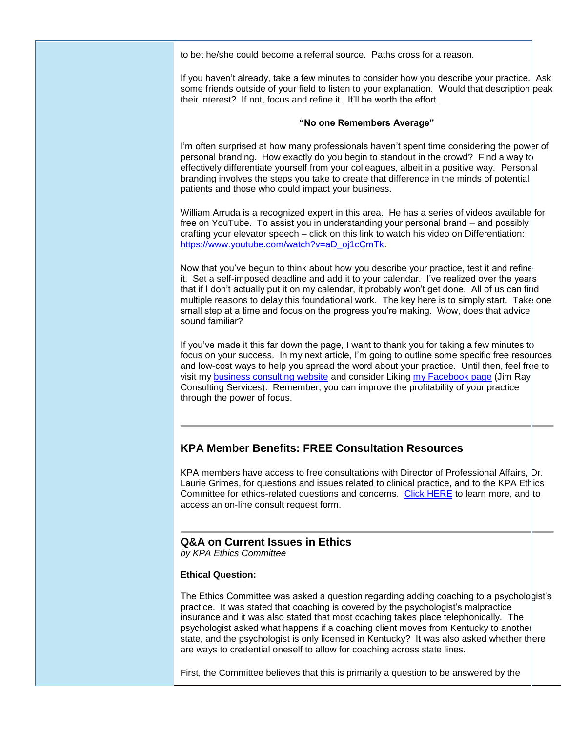to bet he/she could become a referral source. Paths cross for a reason.

If you haven't already, take a few minutes to consider how you describe your practice. Ask some friends outside of your field to listen to your explanation. Would that description peak their interest? If not, focus and refine it. It'll be worth the effort.

#### **"No one Remembers Average"**

I'm often surprised at how many professionals haven't spent time considering the power of personal branding. How exactly do you begin to standout in the crowd? Find a way to effectively differentiate yourself from your colleagues, albeit in a positive way. Personal branding involves the steps you take to create that difference in the minds of potential patients and those who could impact your business.

William Arruda is a recognized expert in this area. He has a series of videos available for free on YouTube. To assist you in understanding your personal brand – and possibly crafting your elevator speech – click on this link to watch his video on Differentiation: [https://www.youtube.com/watch?v=aD\\_oj1cCmTk.](https://www.youtube.com/watch?v=aD_oj1cCmTk)

Now that you've begun to think about how you describe your practice, test it and refine it. Set a self-imposed deadline and add it to your calendar. I've realized over the years that if I don't actually put it on my calendar, it probably won't get done. All of us can find multiple reasons to delay this foundational work. The key here is to simply start. Take one small step at a time and focus on the progress you're making. Wow, does that advice sound familiar?

If you've made it this far down the page, I want to thank you for taking a few minutes to focus on your success. In my next article, I'm going to outline some specific free resources and low-cost ways to help you spread the word about your practice. Until then, feel free to visit my [business consulting website](http://www.jimrayconsultingservices.com/) and consider Liking [my Facebook page](http://www.facebook.com/JimRayConsultingServices) (Jim Ray Consulting Services). Remember, you can improve the profitability of your practice through the power of focus.

# **KPA Member Benefits: FREE Consultation Resources**

KPA members have access to free consultations with Director of Professional Affairs, Dr. Laurie Grimes, for questions and issues related to clinical practice, and to the KPA Ethics Committee for ethics-related questions and concerns. [Click HERE](http://www.kpa.org/general/custom.asp?page=19) to learn more, and to access an on-line consult request form.

## **Q&A on Current Issues in Ethics**

*by KPA Ethics Committee*

#### **Ethical Question:**

The Ethics Committee was asked a question regarding adding coaching to a psychologist's practice. It was stated that coaching is covered by the psychologist's malpractice insurance and it was also stated that most coaching takes place telephonically. The psychologist asked what happens if a coaching client moves from Kentucky to another state, and the psychologist is only licensed in Kentucky? It was also asked whether there are ways to credential oneself to allow for coaching across state lines.

First, the Committee believes that this is primarily a question to be answered by the